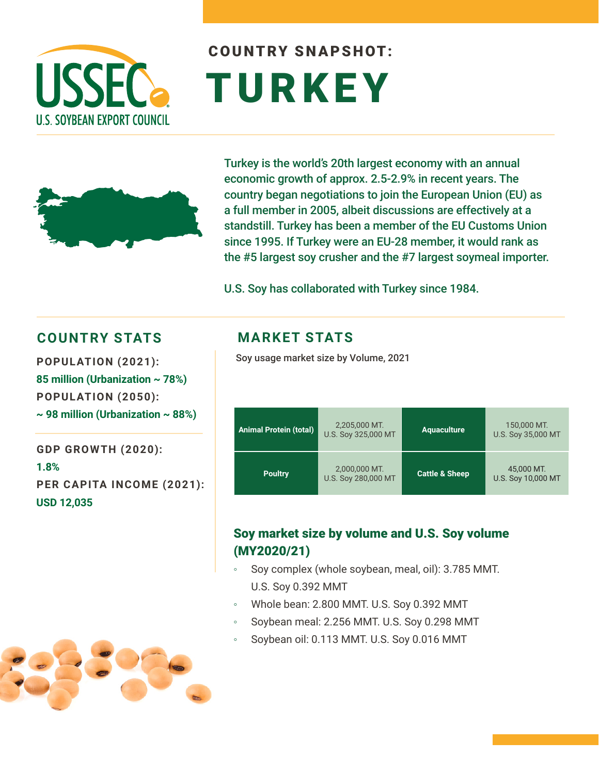

# COUNTRY SNAPSHOT: TURKEY



Turkey is the world's 20th largest economy with an annual economic growth of approx. 2.5-2.9% in recent years. The country began negotiations to join the European Union (EU) as a full member in 2005, albeit discussions are effectively at a standstill. Turkey has been a member of the EU Customs Union since 1995. If Turkey were an EU-28 member, it would rank as the #5 largest soy crusher and the #7 largest soymeal importer.

U.S. Soy has collaborated with Turkey since 1984.

#### **COUNTRY STATS**

**POPULATION (2021): 85 million (Urbanization ~ 78%) POPULATION (2050): ~ 98 million (Urbanization ~ 88%)**

**GDP GROWTH (2020): 1.8% PER CAPITA INCOME (2021): USD 12,035**

### **MARKET STATS**

Soy usage market size by Volume, 2021

| <b>Animal Protein (total)</b> | 2,205,000 MT.<br>U.S. Soy 325,000 MT | <b>Aquaculture</b>        | 150,000 MT.<br>U.S. Soy 35,000 MT |
|-------------------------------|--------------------------------------|---------------------------|-----------------------------------|
| <b>Poultry</b>                | 2,000,000 MT.<br>U.S. Soy 280,000 MT | <b>Cattle &amp; Sheep</b> | 45,000 MT.<br>U.S. Soy 10,000 MT  |

#### Soy market size by volume and U.S. Soy volume (MY2020/21)

- Soy complex (whole soybean, meal, oil): 3.785 MMT. U.S. Soy 0.392 MMT
- Whole bean: 2.800 MMT. U.S. Soy 0.392 MMT
- Soybean meal: 2.256 MMT. U.S. Soy 0.298 MMT
- Soybean oil: 0.113 MMT. U.S. Soy 0.016 MMT